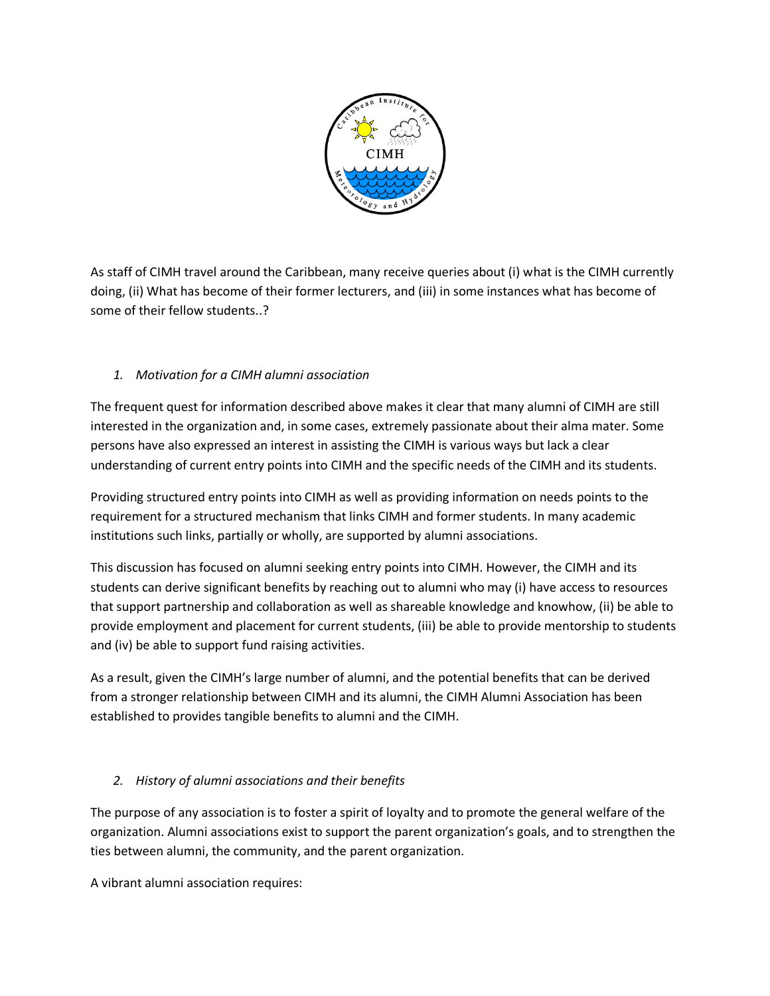

As staff of CIMH travel around the Caribbean, many receive queries about (i) what is the CIMH currently doing, (ii) What has become of their former lecturers, and (iii) in some instances what has become of some of their fellow students..?

## *1. Motivation for a CIMH alumni association*

The frequent quest for information described above makes it clear that many alumni of CIMH are still interested in the organization and, in some cases, extremely passionate about their alma mater. Some persons have also expressed an interest in assisting the CIMH is various ways but lack a clear understanding of current entry points into CIMH and the specific needs of the CIMH and its students.

Providing structured entry points into CIMH as well as providing information on needs points to the requirement for a structured mechanism that links CIMH and former students. In many academic institutions such links, partially or wholly, are supported by alumni associations.

This discussion has focused on alumni seeking entry points into CIMH. However, the CIMH and its students can derive significant benefits by reaching out to alumni who may (i) have access to resources that support partnership and collaboration as well as shareable knowledge and knowhow, (ii) be able to provide employment and placement for current students, (iii) be able to provide mentorship to students and (iv) be able to support fund raising activities.

As a result, given the CIMH's large number of alumni, and the potential benefits that can be derived from a stronger relationship between CIMH and its alumni, the CIMH Alumni Association has been established to provides tangible benefits to alumni and the CIMH.

## *2. History of alumni associations and their benefits*

The purpose of any association is to foster a spirit of loyalty and to promote the general welfare of the organization. Alumni associations exist to support the parent organization's goals, and to strengthen the ties between alumni, the community, and the parent organization.

A vibrant alumni association requires: